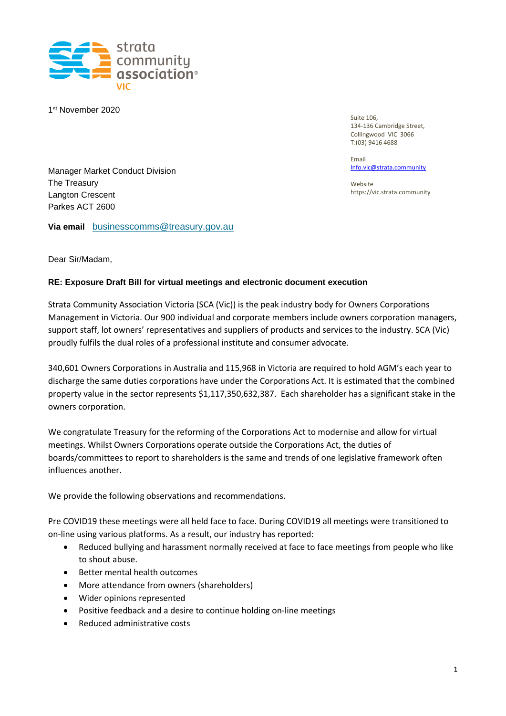

1 st November 2020

Suite 106, 134-136 Cambridge Street, Collingwood VIC 3066 T:(03) 9416 4688

Email [Info.vic@strata.community](mailto:Info.vic@strata.community)

Website https://vic.strata.community

Manager Market Conduct Division The Treasury Langton Crescent Parkes ACT 2600

**Via email** [businesscomms@treasury.gov.au](mailto:businesscomms@treasury.gov.au)

## Dear Sir/Madam,

## **RE: Exposure Draft Bill for virtual meetings and electronic document execution**

Strata Community Association Victoria (SCA (Vic)) is the peak industry body for Owners Corporations Management in Victoria. Our 900 individual and corporate members include owners corporation managers, support staff, lot owners' representatives and suppliers of products and services to the industry. SCA (Vic) proudly fulfils the dual roles of a professional institute and consumer advocate.

340,601 Owners Corporations in Australia and 115,968 in Victoria are required to hold AGM's each year to discharge the same duties corporations have under the Corporations Act. It is estimated that the combined property value in the sector represents \$1,117,350,632,387. Each shareholder has a significant stake in the owners corporation.

We congratulate Treasury for the reforming of the Corporations Act to modernise and allow for virtual meetings. Whilst Owners Corporations operate outside the Corporations Act, the duties of boards/committees to report to shareholders is the same and trends of one legislative framework often influences another.

We provide the following observations and recommendations.

Pre COVID19 these meetings were all held face to face. During COVID19 all meetings were transitioned to on-line using various platforms. As a result, our industry has reported:

- Reduced bullying and harassment normally received at face to face meetings from people who like to shout abuse.
- Better mental health outcomes
- More attendance from owners (shareholders)
- Wider opinions represented
- Positive feedback and a desire to continue holding on-line meetings
- Reduced administrative costs